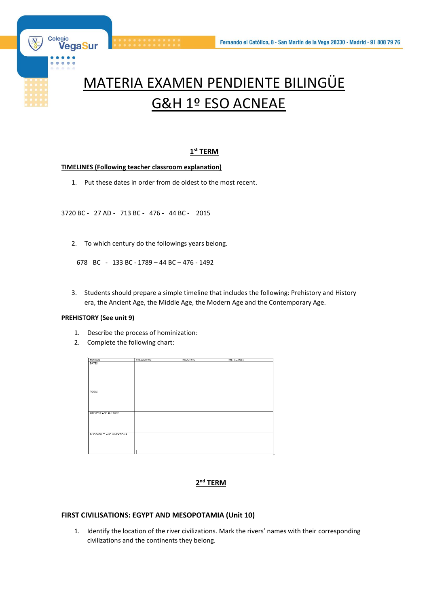

# MATERIA EXAMEN PENDIENTE BILINGÜE G&H 1º ESO ACNEAE

# **1 st TERM**

### **TIMELINES (Following teacher classroom explanation)**

1. Put these dates in order from de oldest to the most recent.

3720 BC - 27 AD - 713 BC - 476 - 44 BC - 2015

- 2. To which century do the followings years belong.
- 678 BC 133 BC 1789 44 BC 476 1492
- 3. Students should prepare a simple timeline that includes the following: Prehistory and History era, the Ancient Age, the Middle Age, the Modern Age and the Contemporary Age.

#### **PREHISTORY (See unit 9)**

- 1. Describe the process of hominization:
- 2. Complete the following chart:

| PERIODS                    | <b>PALEOLITHIC</b> | NEOLITHIC | METAL AGES |
|----------------------------|--------------------|-----------|------------|
| DATES                      |                    |           |            |
|                            |                    |           |            |
|                            |                    |           |            |
|                            |                    |           |            |
|                            |                    |           |            |
|                            |                    |           |            |
|                            |                    |           |            |
|                            |                    |           |            |
|                            |                    |           |            |
| TOOLS                      |                    |           |            |
|                            |                    |           |            |
|                            |                    |           |            |
|                            |                    |           |            |
|                            |                    |           |            |
|                            |                    |           |            |
|                            |                    |           |            |
| LIFESTYLE AND CULTURE      |                    |           |            |
|                            |                    |           |            |
|                            |                    |           |            |
|                            |                    |           |            |
|                            |                    |           |            |
|                            |                    |           |            |
|                            |                    |           |            |
| DISCOVERIES AND INVENTIONS |                    |           |            |
|                            |                    |           |            |
|                            |                    |           |            |
|                            |                    |           |            |
|                            |                    |           |            |
|                            |                    |           |            |
|                            |                    |           |            |

## **2 nd TERM**

## **FIRST CIVILISATIONS: EGYPT AND MESOPOTAMIA (Unit 10)**

1. Identify the location of the river civilizations. Mark the rivers' names with their corresponding civilizations and the continents they belong.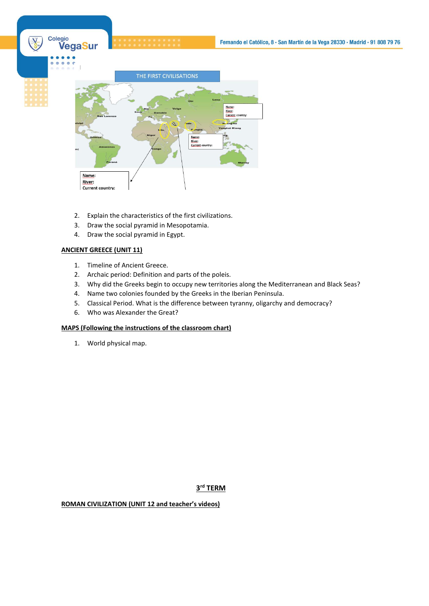

- 2. Explain the characteristics of the first civilizations.
- 3. Draw the social pyramid in Mesopotamia.
- 4. Draw the social pyramid in Egypt.

## **ANCIENT GREECE (UNIT 11)**

- 1. Timeline of Ancient Greece.
- 2. Archaic period: Definition and parts of the poleis.
- 3. Why did the Greeks begin to occupy new territories along the Mediterranean and Black Seas?
- 4. Name two colonies founded by the Greeks in the Iberian Peninsula.
- 5. Classical Period. What is the difference between tyranny, oligarchy and democracy?
- 6. Who was Alexander the Great?

## **MAPS (Following the instructions of the classroom chart)**

1. World physical map.

**3 rd TERM**

**ROMAN CIVILIZATION (UNIT 12 and teacher's videos)**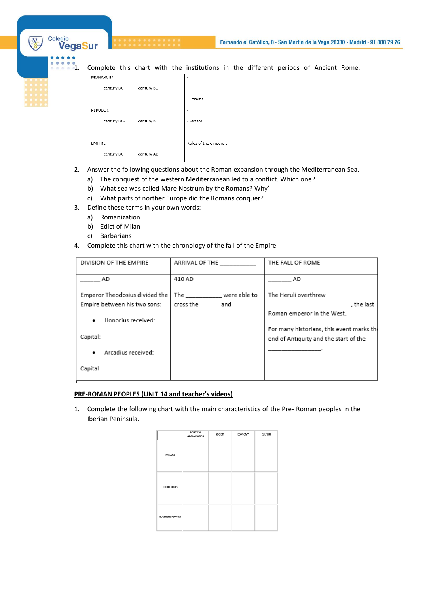

1. Complete this chart with the institutions in the different periods of Ancient Rome.

| MONARCHY                           |                          |
|------------------------------------|--------------------------|
| _____ century BC- _____ century BC | $\overline{\phantom{0}}$ |
|                                    | - Comitia                |
| REPUBLIC                           |                          |
| century BC- century BC             | - Senate                 |
|                                    | ۰                        |
| <b>EMPIRE</b>                      | Roles of the emperor:    |
| century BC- century AD             |                          |

- 2. Answer the following questions about the Roman expansion through the Mediterranean Sea.
	- a) The conquest of the western Mediterranean led to a conflict. Which one?
	- b) What sea was called Mare Nostrum by the Romans? Why'
	- c) What parts of norther Europe did the Romans conquer?
- 3. Define these terms in your own words:
	- a) Romanization
	- b) Edict of Milan
	- c) Barbarians
- 4. Complete this chart with the chronology of the fall of the Empire.

| DIVISION OF THE EMPIRE         | ARRIVAL OF THE   | THE FALL OF ROME                                                        |
|--------------------------------|------------------|-------------------------------------------------------------------------|
| - AD                           | 410 AD           | - AD                                                                    |
| Emperor Theodosius divided the | The were able to | The Heruli overthrew                                                    |
| Empire between his two sons:   | cross the and    | the last.                                                               |
| Honorius received:<br>٠        |                  | Roman emperor in the West.<br>For many historians, this event marks the |
| Capital:                       |                  | end of Antiquity and the start of the                                   |
| Arcadius received:<br>٠        |                  |                                                                         |
| Capital                        |                  |                                                                         |

#### **PRE-ROMAN PEOPLES (UNIT 14 and teacher's videos)**

1. Complete the following chart with the main characteristics of the Pre- Roman peoples in the Iberian Peninsula.

|                         | POLITICAL<br><b>ORGANISATION</b> | SOCIETY | <b>ECONOMY</b> | <b>CULTURE</b> |
|-------------------------|----------------------------------|---------|----------------|----------------|
| <b>IBERIANS</b>         |                                  |         |                |                |
| CELTIBERIANS            |                                  |         |                |                |
| <b>NORTHERN PEOPLES</b> |                                  |         |                |                |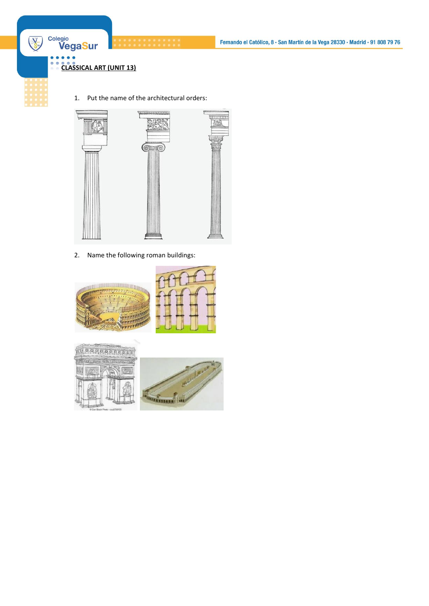



1. Put the name of the architectural orders:



2. Name the following roman buildings: